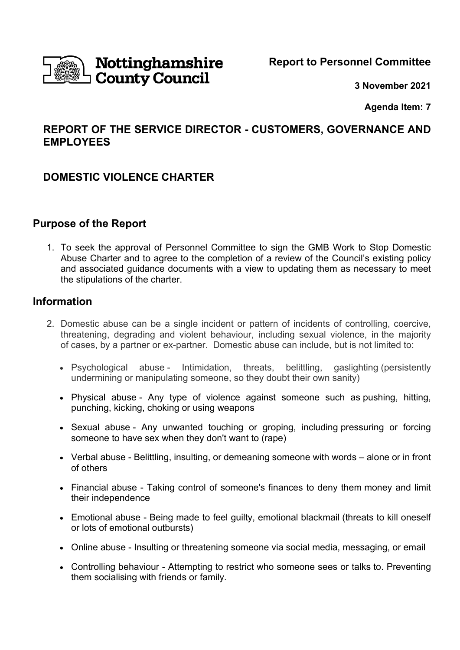

**Report to Personnel Committee** 

**3 November 2021** 

**Agenda Item: 7** 

# **REPORT OF THE SERVICE DIRECTOR - CUSTOMERS, GOVERNANCE AND EMPLOYEES**

# **DOMESTIC VIOLENCE CHARTER**

# **Purpose of the Report**

1. To seek the approval of Personnel Committee to sign the GMB Work to Stop Domestic Abuse Charter and to agree to the completion of a review of the Council's existing policy and associated guidance documents with a view to updating them as necessary to meet the stipulations of the charter.

## **Information**

- 2. Domestic abuse can be a single incident or pattern of incidents of controlling, coercive, threatening, degrading and violent behaviour, including sexual violence, in the majority of cases, by a partner or ex-partner. Domestic abuse can include, but is not limited to:
	- Psychological abuse Intimidation, threats, belittling, gaslighting (persistently undermining or manipulating someone, so they doubt their own sanity)
	- Physical abuse Any type of violence against someone such as pushing, hitting, punching, kicking, choking or using weapons
	- Sexual abuse Any unwanted touching or groping, including pressuring or forcing someone to have sex when they don't want to (rape)
	- Verbal abuse Belittling, insulting, or demeaning someone with words alone or in front of others
	- Financial abuse Taking control of someone's finances to deny them money and limit their independence
	- Emotional abuse Being made to feel guilty, emotional blackmail (threats to kill oneself or lots of emotional outbursts)
	- Online abuse Insulting or threatening someone via social media, messaging, or email
	- Controlling behaviour Attempting to restrict who someone sees or talks to. Preventing them socialising with friends or family.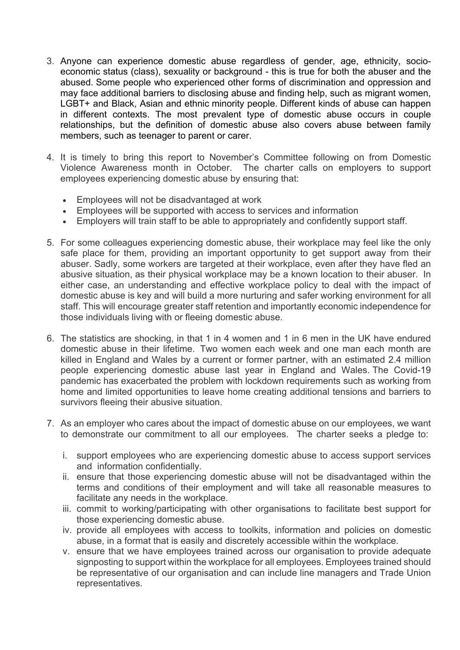- 3. Anyone can experience domestic abuse regardless of gender, age, ethnicity, socioeconomic status (class), sexuality or background - this is true for both the abuser and the abused. Some people who experienced other forms of discrimination and oppression and may face additional barriers to disclosing abuse and finding help, such as migrant women, LGBT+ and Black, Asian and ethnic minority people. Different kinds of abuse can happen in different contexts. The most prevalent type of domestic abuse occurs in couple relationships, but the definition of domestic abuse also covers abuse between family members, such as teenager to parent or carer.
- 4. It is timely to bring this report to November's Committee following on from Domestic Violence Awareness month in October. The charter calls on employers to support employees experiencing domestic abuse by ensuring that:
	- Employees will not be disadvantaged at work
	- Employees will be supported with access to services and information
	- Employers will train staff to be able to appropriately and confidently support staff.
- 5. For some colleagues experiencing domestic abuse, their workplace may feel like the only safe place for them, providing an important opportunity to get support away from their abuser. Sadly, some workers are targeted at their workplace, even after they have fled an abusive situation, as their physical workplace may be a known location to their abuser. In either case, an understanding and effective workplace policy to deal with the impact of domestic abuse is key and will build a more nurturing and safer working environment for all staff. This will encourage greater staff retention and importantly economic independence for those individuals living with or fleeing domestic abuse.
- 6. The statistics are shocking, in that 1 in 4 women and 1 in 6 men in the UK have endured domestic abuse in their lifetime. Two women each week and one man each month are killed in England and Wales by a current or former partner, with an estimated 2.4 million people experiencing domestic abuse last year in England and Wales. The Covid-19 pandemic has exacerbated the problem with lockdown requirements such as working from home and limited opportunities to leave home creating additional tensions and barriers to survivors fleeing their abusive situation.
- 7. As an employer who cares about the impact of domestic abuse on our employees, we want to demonstrate our commitment to all our employees. The charter seeks a pledge to:
	- i. support employees who are experiencing domestic abuse to access support services and information confidentially.
	- ii. ensure that those experiencing domestic abuse will not be disadvantaged within the terms and conditions of their employment and will take all reasonable measures to facilitate any needs in the workplace.
	- iii. commit to working/participating with other organisations to facilitate best support for those experiencing domestic abuse.
	- iv. provide all employees with access to toolkits, information and policies on domestic abuse, in a format that is easily and discretely accessible within the workplace.
	- v. ensure that we have employees trained across our organisation to provide adequate signposting to support within the workplace for all employees. Employees trained should be representative of our organisation and can include line managers and Trade Union representatives.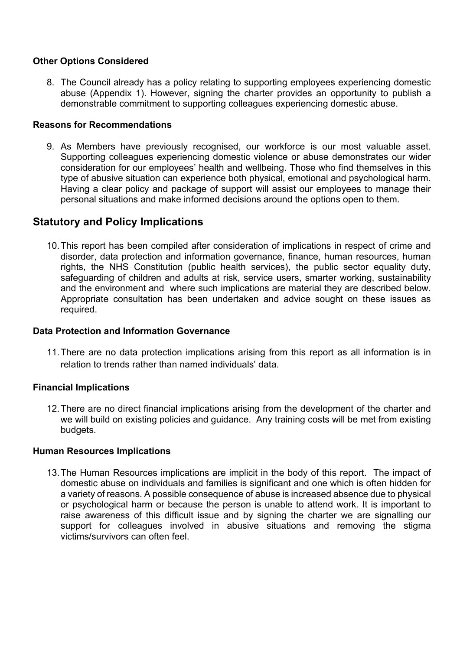## **Other Options Considered**

8. The Council already has a policy relating to supporting employees experiencing domestic abuse (Appendix 1). However, signing the charter provides an opportunity to publish a demonstrable commitment to supporting colleagues experiencing domestic abuse.

#### **Reasons for Recommendations**

9. As Members have previously recognised, our workforce is our most valuable asset. Supporting colleagues experiencing domestic violence or abuse demonstrates our wider consideration for our employees' health and wellbeing. Those who find themselves in this type of abusive situation can experience both physical, emotional and psychological harm. Having a clear policy and package of support will assist our employees to manage their personal situations and make informed decisions around the options open to them.

## **Statutory and Policy Implications**

10. This report has been compiled after consideration of implications in respect of crime and disorder, data protection and information governance, finance, human resources, human rights, the NHS Constitution (public health services), the public sector equality duty, safeguarding of children and adults at risk, service users, smarter working, sustainability and the environment and where such implications are material they are described below. Appropriate consultation has been undertaken and advice sought on these issues as required.

## **Data Protection and Information Governance**

11. There are no data protection implications arising from this report as all information is in relation to trends rather than named individuals' data.

## **Financial Implications**

12. There are no direct financial implications arising from the development of the charter and we will build on existing policies and guidance. Any training costs will be met from existing budgets.

#### **Human Resources Implications**

13. The Human Resources implications are implicit in the body of this report. The impact of domestic abuse on individuals and families is significant and one which is often hidden for a variety of reasons. A possible consequence of abuse is increased absence due to physical or psychological harm or because the person is unable to attend work. It is important to raise awareness of this difficult issue and by signing the charter we are signalling our support for colleagues involved in abusive situations and removing the stigma victims/survivors can often feel.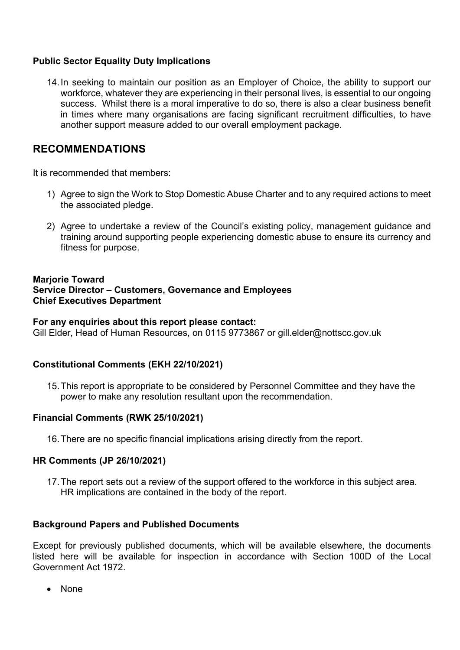## **Public Sector Equality Duty Implications**

14. In seeking to maintain our position as an Employer of Choice, the ability to support our workforce, whatever they are experiencing in their personal lives, is essential to our ongoing success. Whilst there is a moral imperative to do so, there is also a clear business benefit in times where many organisations are facing significant recruitment difficulties, to have another support measure added to our overall employment package.

# **RECOMMENDATIONS**

It is recommended that members:

- 1) Agree to sign the Work to Stop Domestic Abuse Charter and to any required actions to meet the associated pledge.
- 2) Agree to undertake a review of the Council's existing policy, management guidance and training around supporting people experiencing domestic abuse to ensure its currency and fitness for purpose.

## **Marjorie Toward Service Director – Customers, Governance and Employees Chief Executives Department**

#### **For any enquiries about this report please contact:**

Gill Elder, Head of Human Resources, on 0115 9773867 or gill.elder@nottscc.gov.uk

## **Constitutional Comments (EKH 22/10/2021)**

15. This report is appropriate to be considered by Personnel Committee and they have the power to make any resolution resultant upon the recommendation.

## **Financial Comments (RWK 25/10/2021)**

16. There are no specific financial implications arising directly from the report.

## **HR Comments (JP 26/10/2021)**

17. The report sets out a review of the support offered to the workforce in this subject area. HR implications are contained in the body of the report.

## **Background Papers and Published Documents**

Except for previously published documents, which will be available elsewhere, the documents listed here will be available for inspection in accordance with Section 100D of the Local Government Act 1972.

• None